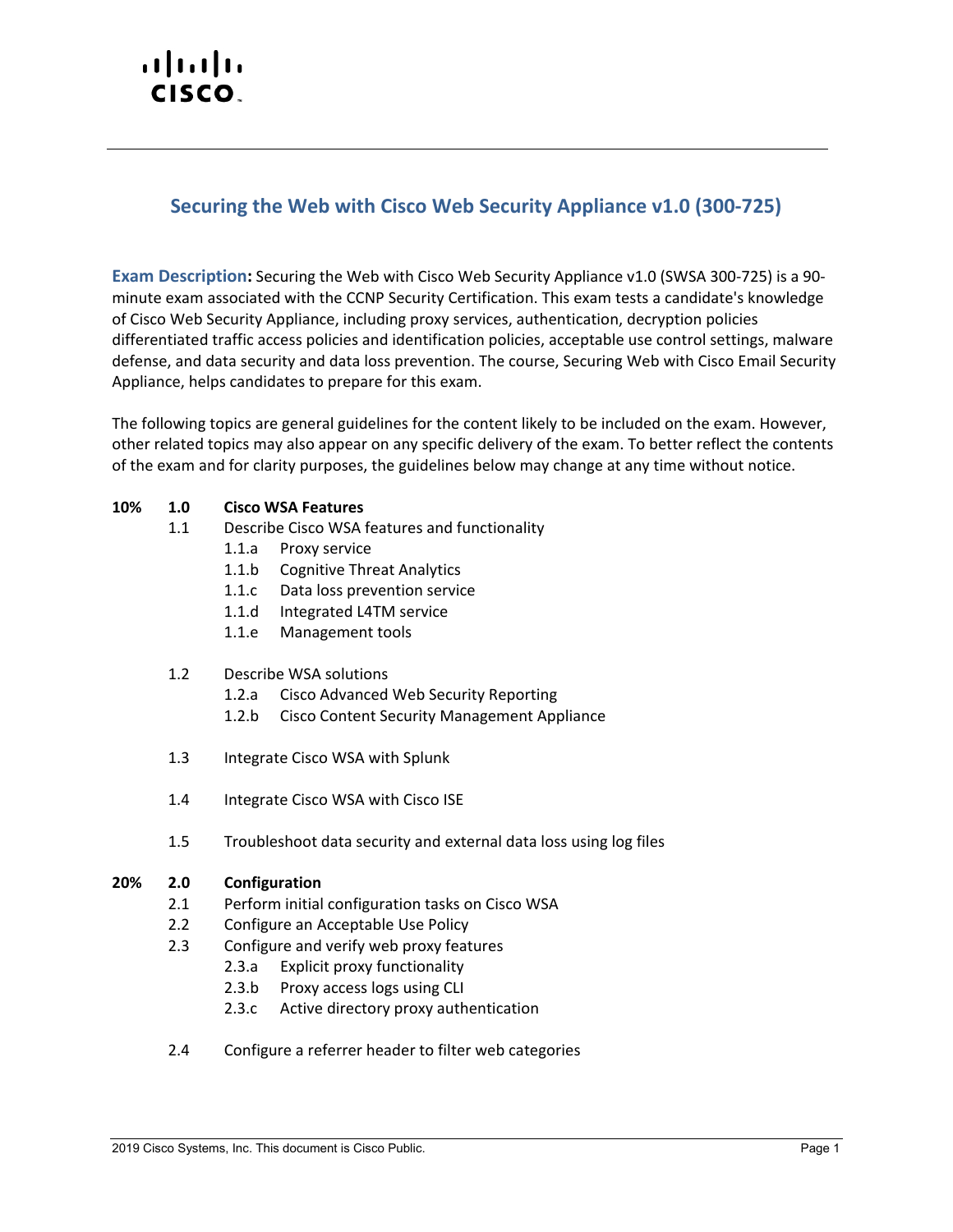# $\cdot$ l $\cdot$ l $\cdot$ l $\cdot$ CISCO.

## **Securing the Web with Cisco Web Security Appliance v1.0 (300-725)**

**Exam Description:** Securing the Web with Cisco Web Security Appliance v1.0 (SWSA 300-725) is a 90 minute exam associated with the CCNP Security Certification. This exam tests a candidate's knowledge of Cisco Web Security Appliance, including proxy services, authentication, decryption policies differentiated traffic access policies and identification policies, acceptable use control settings, malware defense, and data security and data loss prevention. The course, Securing Web with Cisco Email Security Appliance, helps candidates to prepare for this exam.

The following topics are general guidelines for the content likely to be included on the exam. However, other related topics may also appear on any specific delivery of the exam. To better reflect the contents of the exam and for clarity purposes, the guidelines below may change at any time without notice.

#### **10% 1.0 Cisco WSA Features**

- 1.1 Describe Cisco WSA features and functionality
	- 1.1.a Proxy service
	- 1.1.b Cognitive Threat Analytics
	- 1.1.c Data loss prevention service
	- 1.1.d Integrated L4TM service
	- 1.1.e Management tools
- 1.2 Describe WSA solutions
	- 1.2.a Cisco Advanced Web Security Reporting
	- 1.2.b Cisco Content Security Management Appliance
- 1.3 Integrate Cisco WSA with Splunk
- 1.4 Integrate Cisco WSA with Cisco ISE
- 1.5 Troubleshoot data security and external data loss using log files

#### **20% 2.0 Configuration**

- 2.1 Perform initial configuration tasks on Cisco WSA
- 2.2 Configure an Acceptable Use Policy
- 2.3 Configure and verify web proxy features
	- 2.3.a Explicit proxy functionality
	- 2.3.b Proxy access logs using CLI
	- 2.3.c Active directory proxy authentication
- 2.4 Configure a referrer header to filter web categories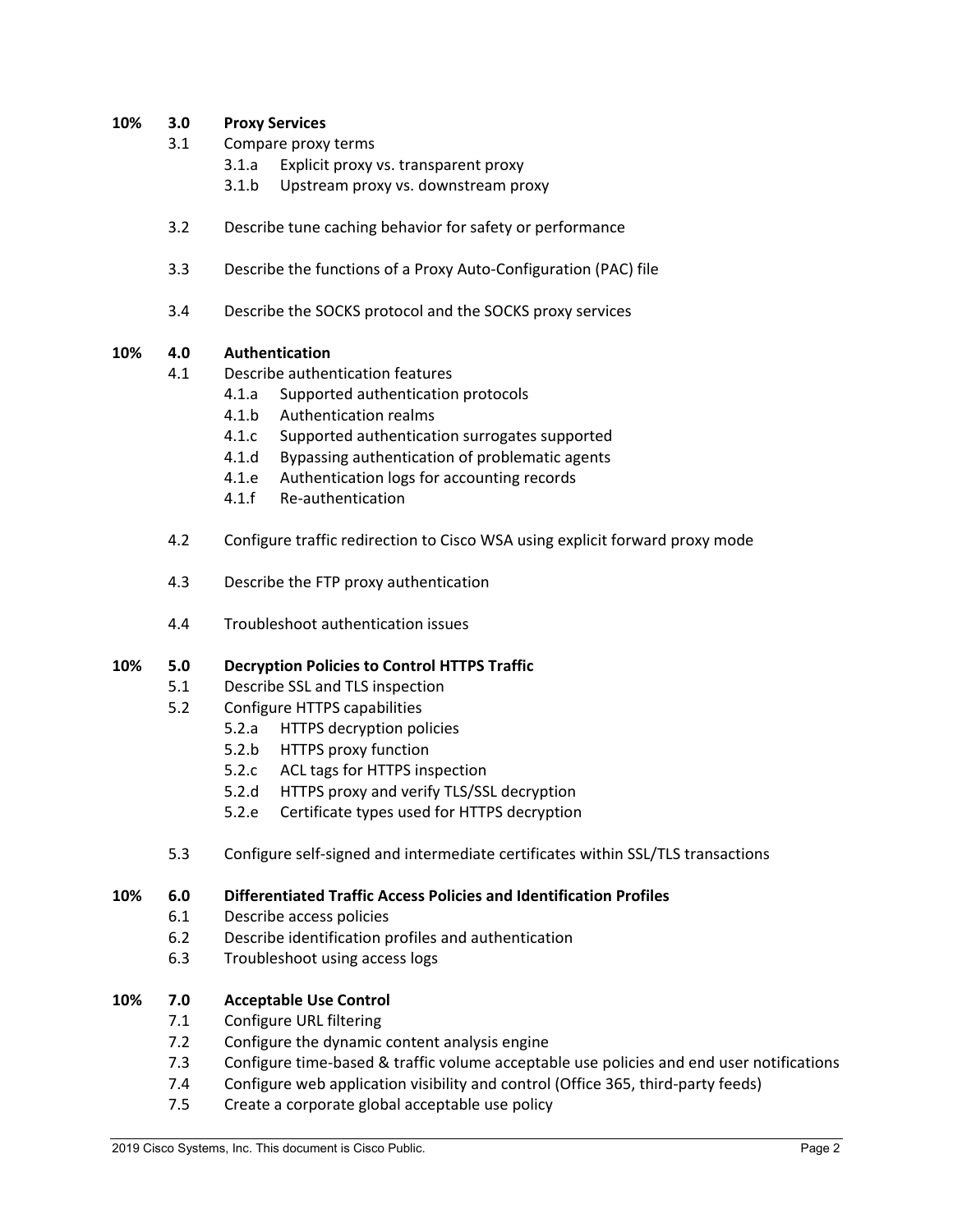#### **10% 3.0 Proxy Services**

- 3.1 Compare proxy terms
	- 3.1.a Explicit proxy vs. transparent proxy
	- 3.1.b Upstream proxy vs. downstream proxy
- 3.2 Describe tune caching behavior for safety or performance
- 3.3 Describe the functions of a Proxy Auto-Configuration (PAC) file
- 3.4 Describe the SOCKS protocol and the SOCKS proxy services

#### **10% 4.0 Authentication**

- 4.1 Describe authentication features
	- 4.1.a Supported authentication protocols
	- 4.1.b Authentication realms
	- 4.1.c Supported authentication surrogates supported
	- 4.1.d Bypassing authentication of problematic agents
	- 4.1.e Authentication logs for accounting records
	- 4.1.f Re-authentication
- 4.2 Configure traffic redirection to Cisco WSA using explicit forward proxy mode
- 4.3 Describe the FTP proxy authentication
- 4.4 Troubleshoot authentication issues

#### **10% 5.0 Decryption Policies to Control HTTPS Traffic**

- 5.1 Describe SSL and TLS inspection
- 5.2 Configure HTTPS capabilities
	- 5.2.a HTTPS decryption policies
	- 5.2.b HTTPS proxy function
	- 5.2.c ACL tags for HTTPS inspection
	- 5.2.d HTTPS proxy and verify TLS/SSL decryption
	- 5.2.e Certificate types used for HTTPS decryption
- 5.3 Configure self-signed and intermediate certificates within SSL/TLS transactions

#### **10% 6.0 Differentiated Traffic Access Policies and Identification Profiles**

- 6.1 Describe access policies
- 6.2 Describe identification profiles and authentication
- 6.3 Troubleshoot using access logs

### **10% 7.0 Acceptable Use Control**

- 7.1 Configure URL filtering
- 7.2 Configure the dynamic content analysis engine
- 7.3 Configure time-based & traffic volume acceptable use policies and end user notifications
- 7.4 Configure web application visibility and control (Office 365, third-party feeds)
- 7.5 Create a corporate global acceptable use policy